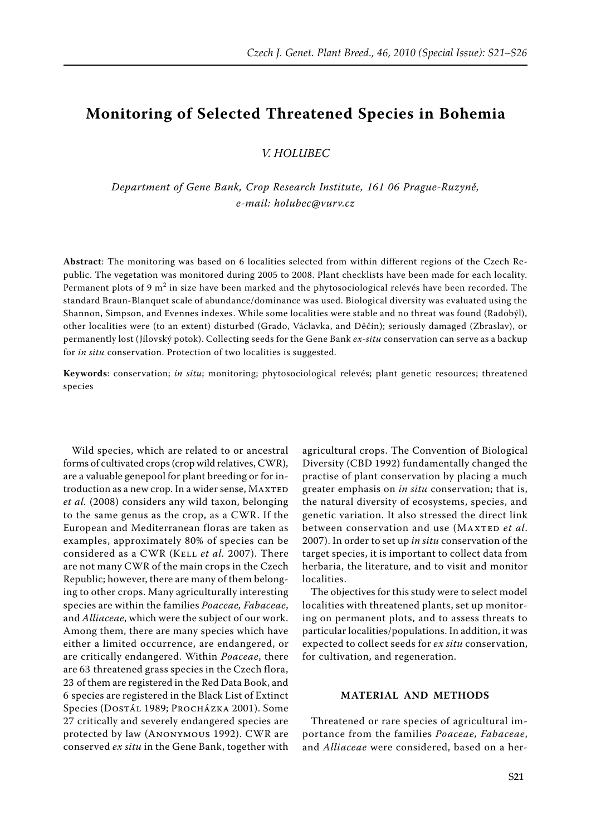# **Monitoring of Selected Threatened Species in Bohemia**

*V. Holubec*

*Department of Gene Bank, Crop Research Institute, 161 06 Prague-Ruzyně, e-mail: holubec@vurv.cz*

**Abstract**: The monitoring was based on 6 localities selected from within different regions of the Czech Republic. The vegetation was monitored during 2005 to 2008. Plant checklists have been made for each locality. Permanent plots of 9  $\mathrm{m}^{2}$  in size have been marked and the phytosociological relevés have been recorded. The standard Braun-Blanquet scale of abundance/dominance was used. Biological diversity was evaluated using the Shannon, Simpson, and Evennes indexes. While some localities were stable and no threat was found (Radobýl), other localities were (to an extent) disturbed (Grado, Václavka, and Děčín); seriously damaged (Zbraslav), or permanently lost (Jílovský potok). Collecting seeds for the Gene Bank *ex-situ* conservation can serve as a backup for *in situ* conservation. Protection of two localities is suggested.

**Keywords**: conservation; *in situ*; monitoring; phytosociological relevés; plant genetic resources; threatened species

Wild species, which are related to or ancestral forms of cultivated crops (crop wild relatives, CWR), are a valuable genepool for plant breeding or for introduction as a new crop. In a wider sense, MAXTED *et al.* (2008) considers any wild taxon, belonging to the same genus as the crop, as a CWR. If the European and Mediterranean floras are taken as examples, approximately 80% of species can be considered as a CWR (KELL *et al.* 2007). There are not many CWR of the main crops in the Czech Republic; however, there are many of them belonging to other crops. Many agriculturally interesting species are within the families *Poaceae, Fabaceae*, and *Alliaceae*, which were the subject of our work. Among them, there are many species which have either a limited occurrence, are endangered, or are critically endangered. Within *Poaceae*, there are 63 threatened grass species in the Czech flora, 23 of them are registered in the Red Data Book, and 6 species are registered in the Black List of Extinct Species (Dostál 1989; Procházka 2001). Some 27 critically and severely endangered species are protected by law (Anonymous 1992). CWR are conserved *ex situ* in the Gene Bank, together with

agricultural crops. The Convention of Biological Diversity (CBD 1992) fundamentally changed the practise of plant conservation by placing a much greater emphasis on *in situ* conservation; that is, the natural diversity of ecosystems, species, and genetic variation. It also stressed the direct link between conservation and use (MAXTED *et al.*) 2007). In order to set up *in situ* conservation of the target species, it is important to collect data from herbaria, the literature, and to visit and monitor localities.

The objectives for this study were to select model localities with threatened plants, set up monitoring on permanent plots, and to assess threats to particular localities/populations. In addition, it was expected to collect seeds for *ex situ* conservation, for cultivation, and regeneration.

# **MATERIAL AND METHODS**

Threatened or rare species of agricultural importance from the families *Poaceae, Fabaceae*, and *Alliaceae* were considered, based on a her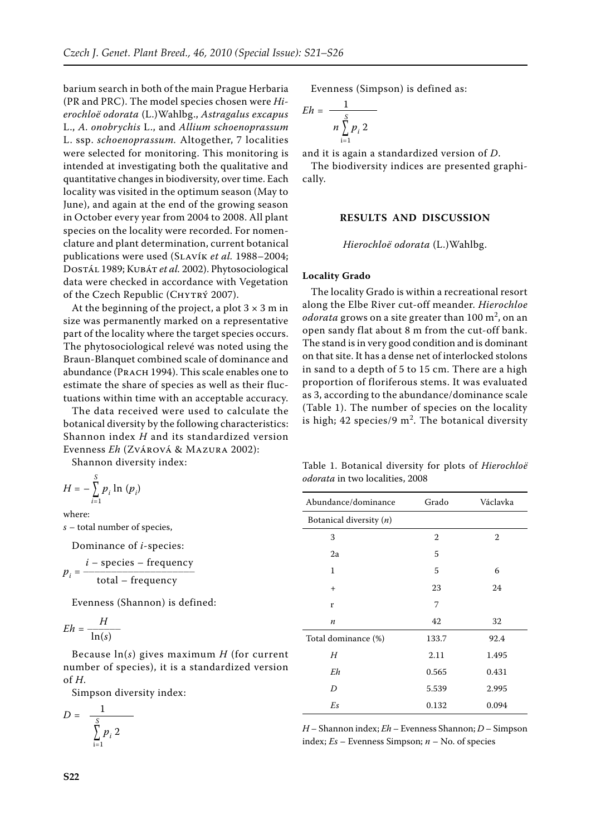barium search in both of the main Prague Herbaria (PR and PRC). The model species chosen were *Hierochloë odorata* (L.)Wahlbg., *Astragalus excapus* L., *A. onobrychis* L., and *Allium schoenoprassum* L. ssp. *schoenoprassum.* Altogether, 7 localities were selected for monitoring. This monitoring is intended at investigating both the qualitative and quantitative changes in biodiversity, over time. Each locality was visited in the optimum season (May to June), and again at the end of the growing season in October every year from 2004 to 2008. All plant species on the locality were recorded. For nomenclature and plant determination, current botanical publications were used (Slavík *et al.* 1988–2004; Dostál 1989; Kubát *et al.* 2002). Phytosociological data were checked in accordance with Vegetation of the Czech Republic (CHYTRÝ 2007).

At the beginning of the project, a plot  $3 \times 3$  m in size was permanently marked on a representative part of the locality where the target species occurs. The phytosociological relevé was noted using the Braun-Blanquet combined scale of dominance and abundance (PRACH 1994). This scale enables one to estimate the share of species as well as their fluctuations within time with an acceptable accuracy.

The data received were used to calculate the botanical diversity by the following characteristics: Shannon index *H* and its standardized version Evenness *Eh* (Zvárová & Mazura 2002):

Shannon diversity index:

$$
H = -\sum_{i=1}^{S} p_i \ln (p_i)
$$

where:

*s* – total number of species,

Dominance of *i*-species:

 *i –* species – frequency  $p_i = \frac{1}{\text{total}}$  frequency  $\cdot$  total – frequency

Evenness (Shannon) is defined:

$$
Eh = \frac{H}{\ln(s)}
$$

Because ln(*s*) gives maximum *H* (for current number of species), it is a standardized version of *H*.

Simpson diversity index:

$$
D = \frac{1}{\sum_{i=1}^{S} p_i 2}
$$

Evenness (Simpson) is defined as:

$$
Eh = \frac{1}{n \sum_{i=1}^{S} p_i 2}
$$

and it is again a standardized version of *D*.

The biodiversity indices are presented graphically.

## **RESULTS AND DISCUSSION**

*Hierochloë odorata* (L.)Wahlbg.

# **Locality Grado**

The locality Grado is within a recreational resort along the Elbe River cut-off meander. *Hierochloe odorata* grows on a site greater than  $100 \text{ m}^2$ , on an open sandy flat about 8 m from the cut-off bank. The stand is in very good condition and is dominant on that site. It has a dense net of interlocked stolons in sand to a depth of 5 to 15 cm. There are a high proportion of floriferous stems. It was evaluated as 3, according to the abundance/dominance scale (Table 1). The number of species on the locality is high; 42 species/9  $m^2$ . The botanical diversity

Table 1. Botanical diversity for plots of *Hierochloë odorata* in two localities, 2008

| Abundance/dominance       | Grado        | Václavka |
|---------------------------|--------------|----------|
| Botanical diversity $(n)$ |              |          |
| 3                         | $\mathbf{2}$ | 2        |
| 2a                        | 5            |          |
| 1                         | 5            | 6        |
| $^{+}$                    | 23           | 24       |
| r                         | 7            |          |
| $\boldsymbol{n}$          | 42           | 32       |
| Total dominance (%)       | 133.7        | 92.4     |
| Н                         | 2.11         | 1.495    |
| Eh                        | 0.565        | 0.431    |
| D                         | 5.539        | 2.995    |
| Es                        | 0.132        | 0.094    |

*H* – Shannon index; *Eh* – Evenness Shannon; *D* – Simpson index; *Es* – Evenness Simpson; *n* – No. of species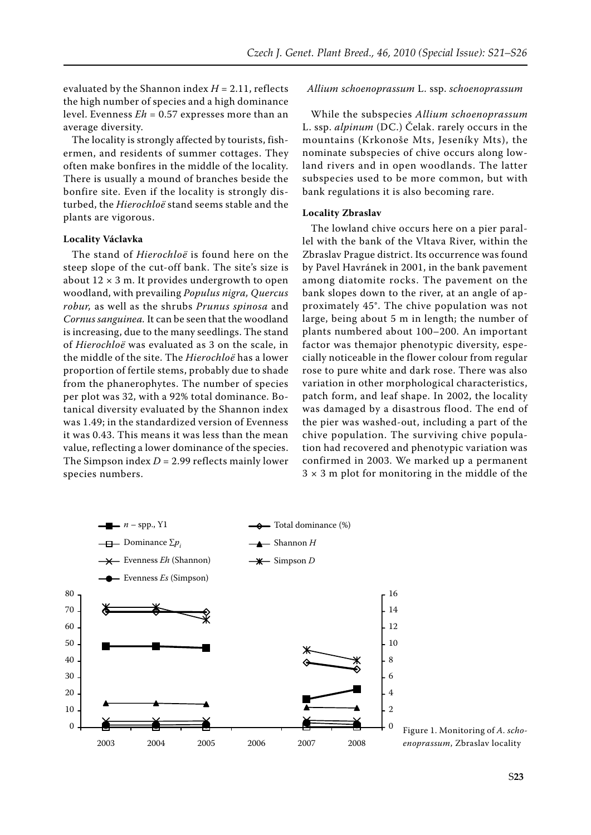evaluated by the Shannon index  $H = 2.11$ , reflects the high number of species and a high dominance level. Evenness *Eh* = 0.57 expresses more than an average diversity.

The locality is strongly affected by tourists, fishermen, and residents of summer cottages. They often make bonfires in the middle of the locality. There is usually a mound of branches beside the bonfire site. Even if the locality is strongly disturbed, the *Hierochloë* stand seems stable and the plants are vigorous.

#### **Locality Václavka**

The stand of *Hierochloë* is found here on the steep slope of the cut-off bank. The site's size is about  $12 \times 3$  m. It provides undergrowth to open woodland, with prevailing *Populus nigra, Quercus robur,* as well as the shrubs *Prunus spinosa* and *Cornus sanguinea.* It can be seen that the woodland is increasing, due to the many seedlings. The stand of *Hierochloë* was evaluated as 3 on the scale, in the middle of the site. The *Hierochloë* has a lower proportion of fertile stems, probably due to shade from the phanerophytes. The number of species per plot was 32, with a 92% total dominance. Botanical diversity evaluated by the Shannon index was 1.49; in the standardized version of Evenness it was 0.43. This means it was less than the mean value, reflecting a lower dominance of the species. The Simpson index *D* = 2.99 reflects mainly lower species numbers.

#### *Allium schoenoprassum* L. ssp. *schoenoprassum*

While the subspecies *Allium schoenoprassum* L. ssp. *alpinum* (DC.) Čelak. rarely occurs in the mountains (Krkonoše Mts, Jeseníky Mts), the nominate subspecies of chive occurs along lowland rivers and in open woodlands. The latter subspecies used to be more common, but with bank regulations it is also becoming rare.

#### **Locality Zbraslav**

The lowland chive occurs here on a pier parallel with the bank of the Vltava River, within the Zbraslav Prague district. Its occurrence was found by Pavel Havránek in 2001, in the bank pavement among diatomite rocks. The pavement on the bank slopes down to the river, at an angle of approximately 45°. The chive population was not large, being about 5 m in length; the number of plants numbered about 100–200. An important factor was themajor phenotypic diversity, especially noticeable in the flower colour from regular rose to pure white and dark rose. There was also variation in other morphological characteristics, patch form, and leaf shape. In 2002, the locality was damaged by a disastrous flood. The end of the pier was washed-out, including a part of the chive population. The surviving chive population had recovered and phenotypic variation was confirmed in 2003. We marked up a permanent  $3 \times 3$  m plot for monitoring in the middle of the



Figure 1. Monitoring of *A. schoenoprassum*, Zbraslav locality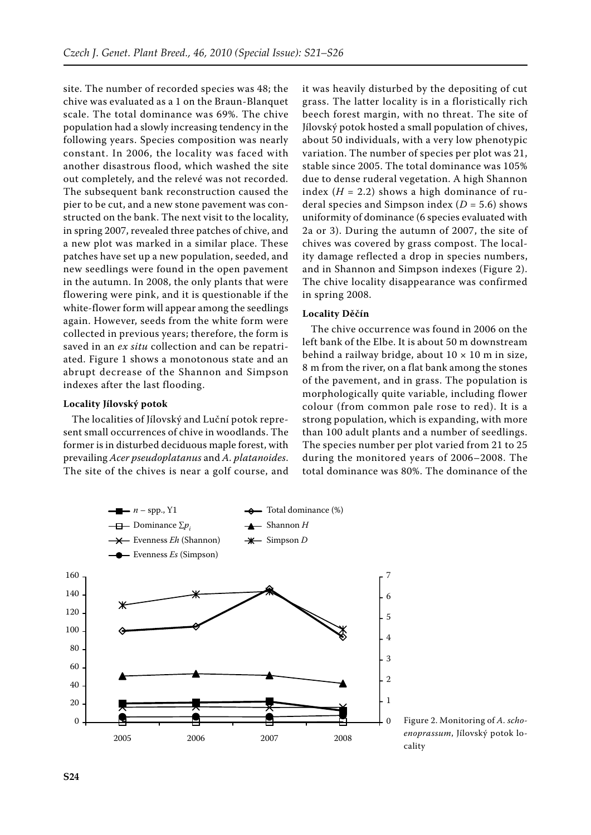site. The number of recorded species was 48; the chive was evaluated as a 1 on the Braun-Blanquet scale. The total dominance was 69%. The chive population had a slowly increasing tendency in the following years. Species composition was nearly constant. In 2006, the locality was faced with another disastrous flood, which washed the site out completely, and the relevé was not recorded. The subsequent bank reconstruction caused the pier to be cut, and a new stone pavement was constructed on the bank. The next visit to the locality, in spring 2007, revealed three patches of chive, and a new plot was marked in a similar place. These patches have set up a new population, seeded, and new seedlings were found in the open pavement in the autumn. In 2008, the only plants that were flowering were pink, and it is questionable if the white-flower form will appear among the seedlings again. However, seeds from the white form were collected in previous years; therefore, the form is saved in an *ex situ* collection and can be repatriated. Figure 1 shows a monotonous state and an abrupt decrease of the Shannon and Simpson indexes after the last flooding.

#### **Locality Jílovský potok**

The localities of Jílovský and Luční potok represent small occurrences of chive in woodlands. The former is in disturbed deciduous maple forest, with prevailing *Acer pseudoplatanus* and *A. platanoides*. The site of the chives is near a golf course, and it was heavily disturbed by the depositing of cut grass. The latter locality is in a floristically rich beech forest margin, with no threat. The site of Jílovský potok hosted a small population of chives, about 50 individuals, with a very low phenotypic variation. The number of species per plot was 21, stable since 2005. The total dominance was 105% due to dense ruderal vegetation. A high Shannon index  $(H = 2.2)$  shows a high dominance of ruderal species and Simpson index  $(D = 5.6)$  shows uniformity of dominance (6 species evaluated with 2a or 3). During the autumn of 2007, the site of chives was covered by grass compost. The locality damage reflected a drop in species numbers, and in Shannon and Simpson indexes (Figure 2). The chive locality disappearance was confirmed in spring 2008.

#### **Locality Děčín**

The chive occurrence was found in 2006 on the left bank of the Elbe. It is about 50 m downstream behind a railway bridge, about  $10 \times 10$  m in size, 8 m from the river, on a flat bank among the stones of the pavement, and in grass. The population is morphologically quite variable, including flower colour (from common pale rose to red). It is a strong population, which is expanding, with more than 100 adult plants and a number of seedlings. The species number per plot varied from 21 to 25 during the monitored years of 2006–2008. The total dominance was 80%. The dominance of the



Figure 2. Monitoring of *A. schoenoprassum*, Jílovský potok locality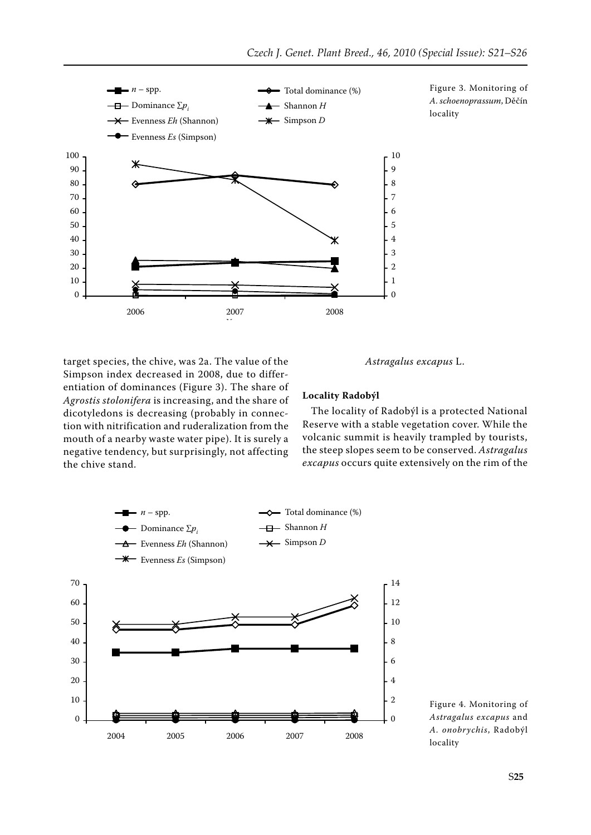

target species, the chive, was 2a. The value of the Simpson index decreased in 2008, due to differentiation of dominances (Figure 3). The share of *Agrostis stolonifera* is increasing, and the share of dicotyledons is decreasing (probably in connection with nitrification and ruderalization from the mouth of a nearby waste water pipe). It is surely a negative tendency, but surprisingly, not affecting the chive stand.

*Astragalus excapus* L.

# **Locality Radobýl**

The locality of Radobýl is a protected National Reserve with a stable vegetation cover. While the volcanic summit is heavily trampled by tourists, the steep slopes seem to be conserved. *Astragalus excapus* occurs quite extensively on the rim of the



Figure 4. Monitoring of *Astragalus excapus* and *A. onobrychis*, Radobýl locality